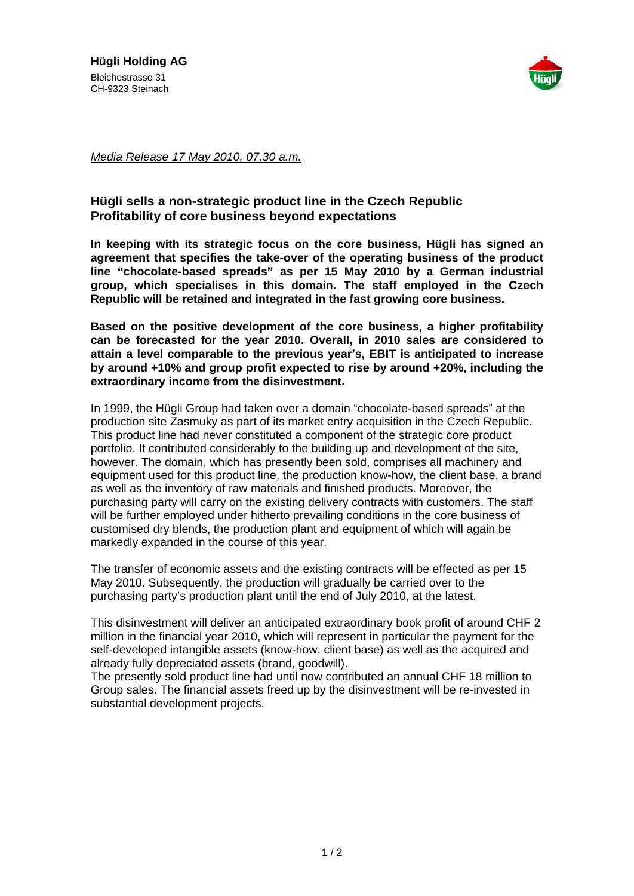

Media Release 17 May 2010, 07.30 a.m.

## **Hügli sells a non-strategic product line in the Czech Republic Profitability of core business beyond expectations**

**In keeping with its strategic focus on the core business, Hügli has signed an agreement that specifies the take-over of the operating business of the product line chocolate-based spreads as per 15 May 2010 by a German industrial group, which specialises in this domain. The staff employed in the Czech Republic will be retained and integrated in the fast growing core business.**

**Based on the positive development of the core business, a higher profitability can be forecasted for the year 2010. Overall, in 2010 sales are considered to attain a level comparable to the previous year s, EBIT is anticipated to increase by around +10% and group profit expected to rise by around +20%, including the extraordinary income from the disinvestment.**

Media Rotomer Theorem The Control of The Concellent Republic Research Media Steinach Republic Redistance of Postsiness beyond expectations in the Concellent Republic Redistance Profession of the Concellent Republic Incore In 1999, the Hügli Group had taken over a domain "chocolate-based spreads" at the production site Zasmuky as part of its market entry acquisition in the Czech Republic. This product line had never constituted a component of the strategic core product portfolio. It contributed considerably to the building up and development of the site, however. The domain, which has presently been sold, comprises all machinery and equipment used for this product line, the production know-how, the client base, a brand as well as the inventory of raw materials and finished products. Moreover, the purchasing party will carry on the existing delivery contracts with customers. The staff will be further employed under hitherto prevailing conditions in the core business of customised dry blends, the production plant and equipment of which will again be markedly expanded in the course of this year.

The transfer of economic assets and the existing contracts will be effected as per 15 May 2010. Subsequently, the production will gradually be carried over to the purchasing party's production plant until the end of July 2010, at the latest.

This disinvestment will deliver an anticipated extraordinary book profit of around CHF 2 million in the financial year 2010, which will represent in particular the payment for the self-developed intangible assets (know-how, client base) as well as the acquired and already fully depreciated assets (brand, goodwill).

The presently sold product line had until now contributed an annual CHF 18 million to Group sales. The financial assets freed up by the disinvestment will be re-invested in substantial development projects.